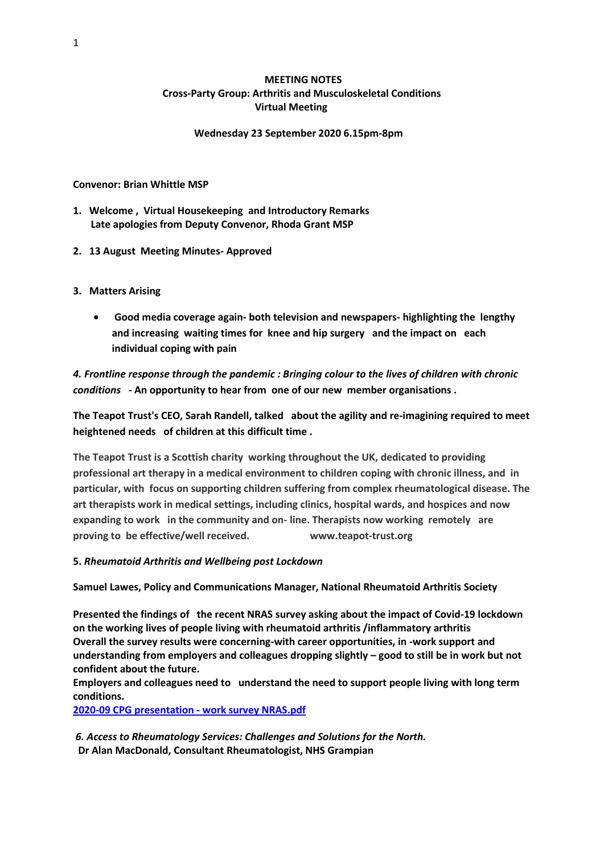## **MEETING NOTES Cross-Party Group: Arthritis and Musculoskeletal Conditions Virtual Meeting**

## **Wednesday 23 September 2020 6.15pm-8pm**

**Convenor: Brian Whittle MSP**

- **1. Welcome , Virtual Housekeeping and Introductory Remarks Late apologies from Deputy Convenor, Rhoda Grant MSP**
- **2. 13 August Meeting Minutes- Approved**
- **3. Matters Arising**
	- **Good media coverage again- both television and newspapers- highlighting the lengthy and increasing waiting times for knee and hip surgery and the impact on each individual coping with pain**

*4. Frontline response through the pandemic : Bringing colour to the lives of children with chronic conditions -* **An opportunity to hear from one of our new member organisations .**

**The Teapot Trust's CEO, Sarah Randell, talked about the agility and re-imagining required to meet heightened needs of children at this difficult time .**

**The Teapot Trust is a Scottish charity working throughout the UK, dedicated to providing professional art therapy in a medical environment to children coping with chronic illness, and in particular, with focus on supporting children suffering from complex rheumatological disease. The art therapists work in medical settings, including clinics, hospital wards, and hospices and now expanding to work in the community and on- line. Therapists now working remotely are proving to be effective/well received. www.teapot-trust.org**

## **5.** *Rheumatoid Arthritis and Wellbeing post Lockdown*

**Samuel Lawes, Policy and Communications Manager, National Rheumatoid Arthritis Society**

**Presented the findings of the recent NRAS survey asking about the impact of Covid-19 lockdown on the working lives of people living with rheumatoid arthritis /inflammatory arthritis Overall the survey results were concerning-with career opportunities, in -work support and understanding from employers and colleagues dropping slightly – good to still be in work but not confident about the future.**

**Employers and colleagues need to understand the need to support people living with long term conditions.**

**[2020-09 CPG presentation -](file:///C:/Users/user/Desktop/2020-09%20CPG%20presentation%20-%20work%20survey%20NRAS.pdf) work survey NRAS.pdf**

*6. Access to Rheumatology Services: Challenges and Solutions for the North.*  **Dr Alan MacDonald, Consultant Rheumatologist, NHS Grampian**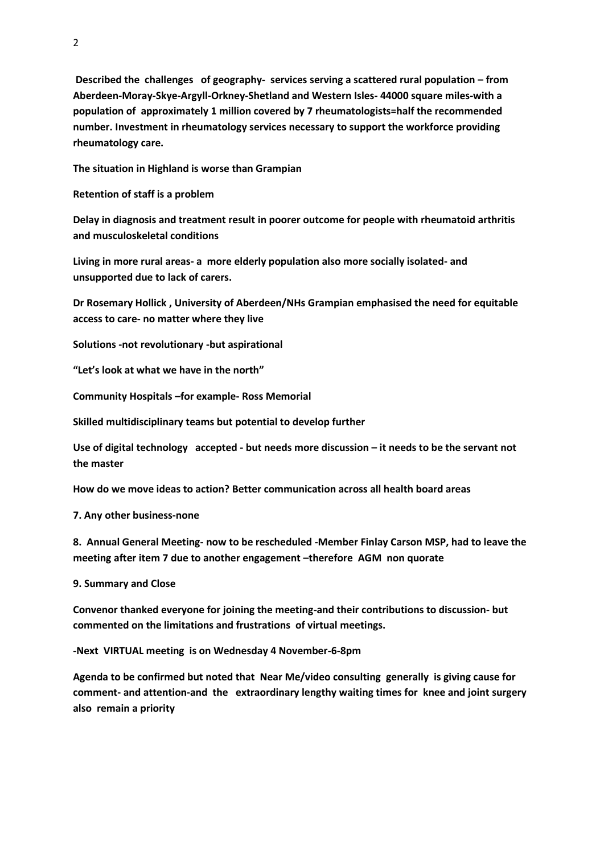**Described the challenges of geography- services serving a scattered rural population – from Aberdeen-Moray-Skye-Argyll-Orkney-Shetland and Western Isles- 44000 square miles-with a population of approximately 1 million covered by 7 rheumatologists=half the recommended number. Investment in rheumatology services necessary to support the workforce providing rheumatology care.** 

**The situation in Highland is worse than Grampian**

**Retention of staff is a problem** 

**Delay in diagnosis and treatment result in poorer outcome for people with rheumatoid arthritis and musculoskeletal conditions**

**Living in more rural areas- a more elderly population also more socially isolated- and unsupported due to lack of carers.**

**Dr Rosemary Hollick , University of Aberdeen/NHs Grampian emphasised the need for equitable access to care- no matter where they live**

**Solutions -not revolutionary -but aspirational**

**"Let's look at what we have in the north"**

**Community Hospitals –for example- Ross Memorial**

**Skilled multidisciplinary teams but potential to develop further**

**Use of digital technology accepted - but needs more discussion – it needs to be the servant not the master**

**How do we move ideas to action? Better communication across all health board areas**

**7. Any other business-none**

**8. Annual General Meeting- now to be rescheduled -Member Finlay Carson MSP, had to leave the meeting after item 7 due to another engagement –therefore AGM non quorate**

**9. Summary and Close**

**Convenor thanked everyone for joining the meeting-and their contributions to discussion- but commented on the limitations and frustrations of virtual meetings.**

**-Next VIRTUAL meeting is on Wednesday 4 November-6-8pm** 

**Agenda to be confirmed but noted that Near Me/video consulting generally is giving cause for comment- and attention-and the extraordinary lengthy waiting times for knee and joint surgery also remain a priority**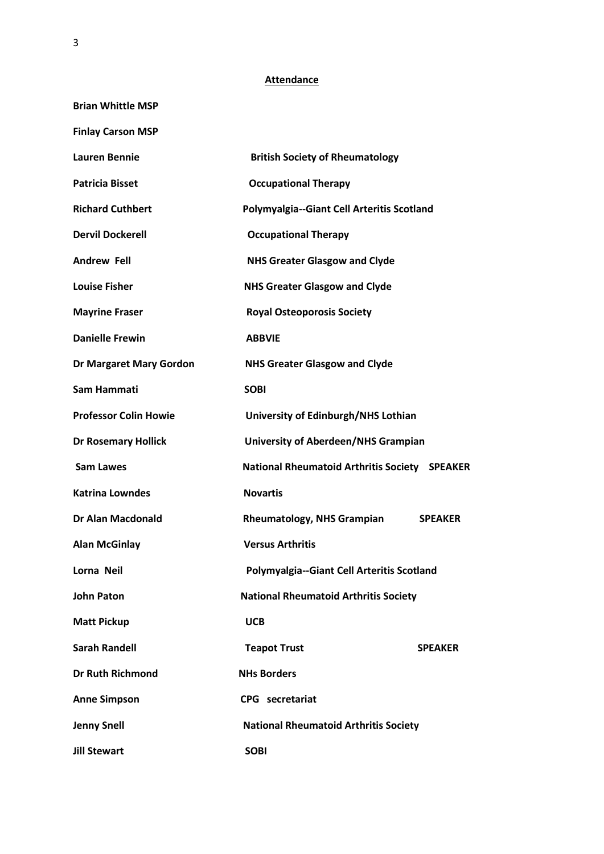## **Attendance**

| <b>Brian Whittle MSP</b>     |                                                     |
|------------------------------|-----------------------------------------------------|
| <b>Finlay Carson MSP</b>     |                                                     |
| <b>Lauren Bennie</b>         | <b>British Society of Rheumatology</b>              |
| <b>Patricia Bisset</b>       | <b>Occupational Therapy</b>                         |
| <b>Richard Cuthbert</b>      | Polymyalgia--Giant Cell Arteritis Scotland          |
| <b>Dervil Dockerell</b>      | <b>Occupational Therapy</b>                         |
| <b>Andrew Fell</b>           | <b>NHS Greater Glasgow and Clyde</b>                |
| <b>Louise Fisher</b>         | <b>NHS Greater Glasgow and Clyde</b>                |
| <b>Mayrine Fraser</b>        | <b>Royal Osteoporosis Society</b>                   |
| <b>Danielle Frewin</b>       | <b>ABBVIE</b>                                       |
| Dr Margaret Mary Gordon      | <b>NHS Greater Glasgow and Clyde</b>                |
| Sam Hammati                  | <b>SOBI</b>                                         |
| <b>Professor Colin Howie</b> | University of Edinburgh/NHS Lothian                 |
| <b>Dr Rosemary Hollick</b>   | University of Aberdeen/NHS Grampian                 |
| <b>Sam Lawes</b>             | National Rheumatoid Arthritis Society SPEAKER       |
| <b>Katrina Lowndes</b>       | <b>Novartis</b>                                     |
| <b>Dr Alan Macdonald</b>     | <b>Rheumatology, NHS Grampian</b><br><b>SPEAKER</b> |
| <b>Alan McGinlay</b>         | <b>Versus Arthritis</b>                             |
| Lorna Neil                   | Polymyalgia--Giant Cell Arteritis Scotland          |
| <b>John Paton</b>            | <b>National Rheumatoid Arthritis Society</b>        |
| <b>Matt Pickup</b>           | <b>UCB</b>                                          |
| <b>Sarah Randell</b>         | <b>Teapot Trust</b><br><b>SPEAKER</b>               |
| <b>Dr Ruth Richmond</b>      | <b>NHs Borders</b>                                  |
| <b>Anne Simpson</b>          | CPG secretariat                                     |
| <b>Jenny Snell</b>           | <b>National Rheumatoid Arthritis Society</b>        |
| <b>Jill Stewart</b>          | <b>SOBI</b>                                         |